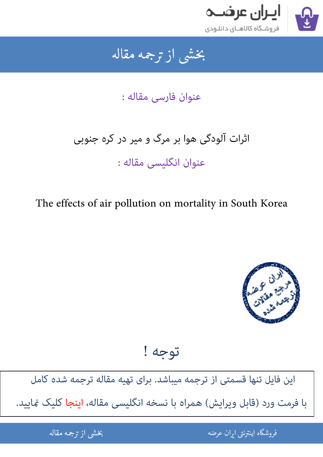

### بخشى از ترجمه مقاله شی از تر بخشی از :

عنوان فارسی مقاله :

# اثرات آلودگی هوا بر مرگ و میر در کره جنوبی عنوان انگلیسی مقاله :

The effects of air pollution on mortality in South Korea



توجه !

[این فایل تنها قسمتی از ترجمه میباشد. برای تهیه مقاله ترجمه شده کامل](http://iranarze.ir/effects+air+pollution+mortality+south+korea)  با فرمت ورد (قابل ویرایش) همراه با نسخه انگلیسی مقاله، اینجا کلیک مَایید.

> .<br>ه الموضوع الموضوع الموضوع الموضوع الموضوع الموضوع الموضوع الموضوع الموضوع الموضوع الموضوع الموضوع الموضوع المو ֧֚֚֚֚֚֚֚֚֚֚֚֚֚֚֚֚֚֚֚֚֚֚֚֚֬֡֡֡֡֡֡֡֡֡֡֬֝֝֓֡֡֬ فروشگاه اینترنتی ایر

ان عرضه مقاله از ترجمه مقاله استخدام استخدام العامل العامل العامل العامل العامل العامل العامل العامل العامل ال